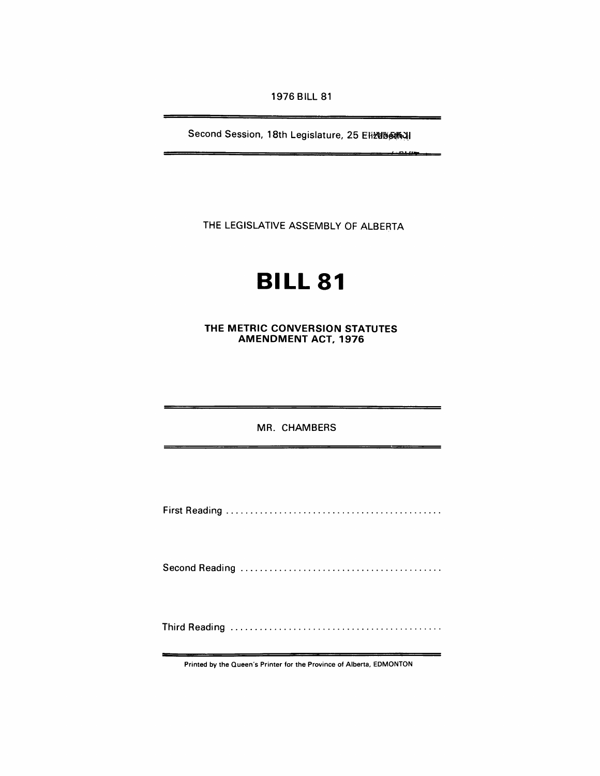1976 BILL 81

Second Session, 18th Legislature, 25 Elizebeth )

THE LEGISLATIVE ASSEMBLY OF ALBERTA

# **BILL 81**

THE METRIC CONVERSION STATUTES AMENDMENT ACT, 1976

MR. CHAMBERS

First Reading ............................................ .

Second Readi ng ......................................... .

Third Reading ........................................... .

Printed by the Queen's Printer for the Province of Alberta, EDMONTON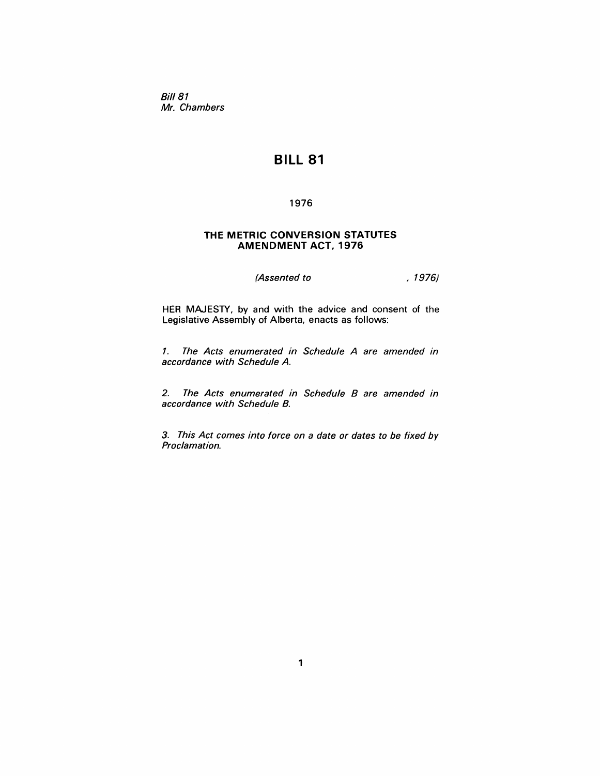Bill 81 Mr. Chambers

# **BILL 81**

# 1976

# **THE METRIC CONVERSION STATUTES AMENDMENT ACT, 1976**

(*Assented to* , 1976)

HER MAJESTY, by and with the advice and consent of the Legislative Assembly of Alberta, enacts as follows:

1. The Acts enumerated in Schedule A are amended in accordance with Schedule A.

2. The Acts enumerated in Schedule B are amended in accordance with Schedule B.

3. This Act comes into force on a date or dates to be fixed by Proclamation.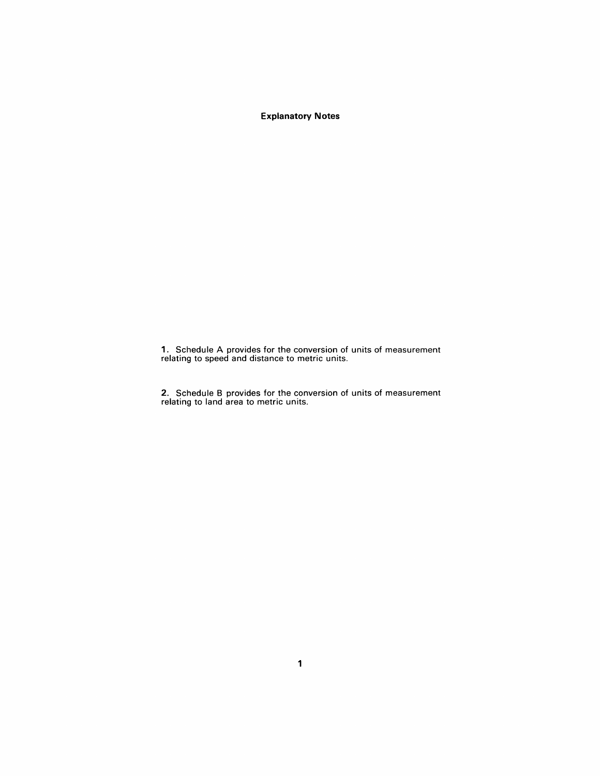**Explanatory Notes** 

1. Schedule A provides for the conversion of units of measurement relating to speed and distance to metric units.

2. Schedule B provides for the conversion of units of measurement relating to land area to metric units.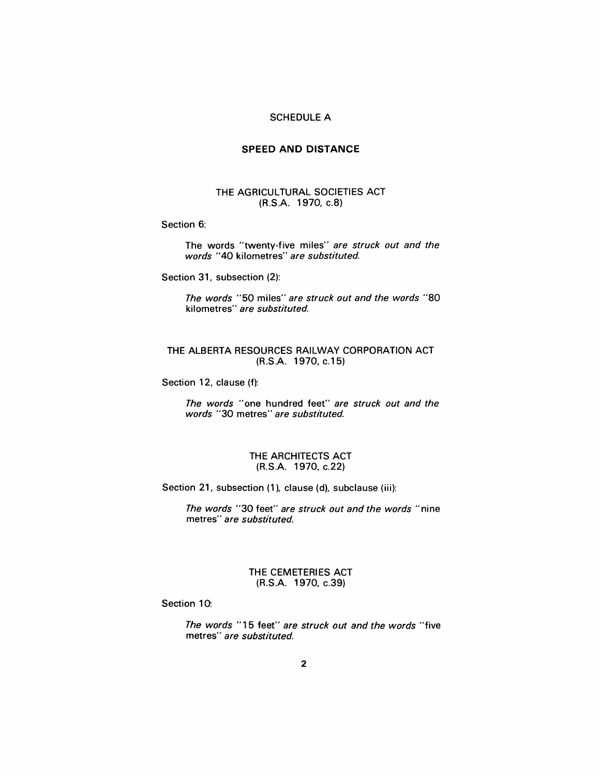# SCHEDULE A

# **SPEED AND DISTANCE**

# THE AGRICULTURAL SOCIETIES ACT (R.S.A. 1970, c.8)

#### Section 6:

The words "twenty-five miles" are struck out and the words "40 kilometres" are substituted.

Section 31, subsection (2):

The words "50 miles" are struck out and the words "80 kilometres" are substituted.

# THE ALBERTA RESOURCES RAILWAY CORPORATION ACT (R.S.A. 1970, c.15)

Section 12, clause (f):

The words "one hundred feet" are struck out and the words "30 metres" are substituted.

# THE ARCHITECTS ACT (R.S.A. 1970, c.22)

Section 21, subsection (1), clause (d), subclause (iii):

The words "30 feet" are struck out and the words "nine metres" are substituted.

# THE CEMETERIES ACT (R.S.A. 1970, c.39)

#### Section 10:

The words "15 feet" are struck out and the words "five metres" are substituted.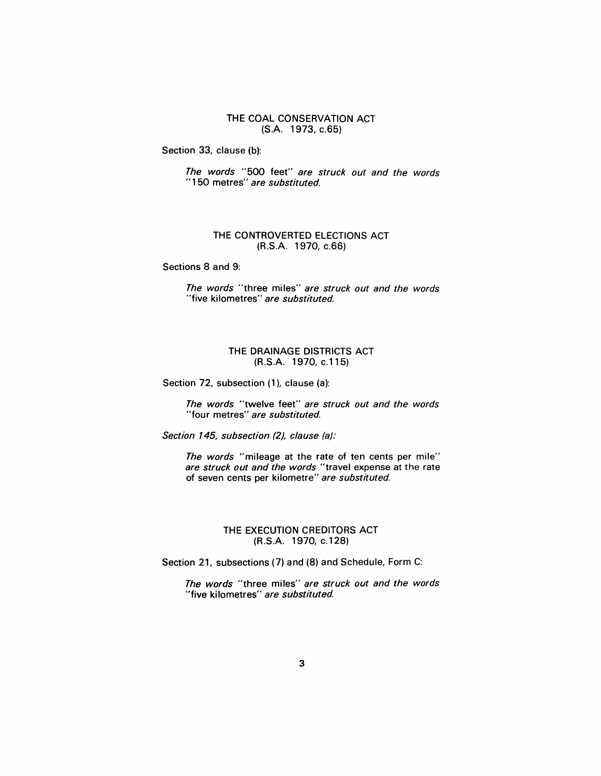THE COAL CONSERVATION ACT (S.A. 1973, c.65)

Section 33, clause (b):

The words "500 feet" are struck out and the words "150 metres" are substituted.

# THE CONTROVERTED ELECTIONS ACT (R.S.A. 1970, c.66)

Sections 8 and 9:

The words "three miles" are struck out and the words "five kilometres" are substituted.

# THE DRAINAGE DISTRICTS ACT (R.S.A. 1970, c.115)

Section 72, subsection (1), clause (a):

The words "twelve feet" are struck out and the words "four metres" are substituted.

Section 145, subsection (2), clause (a):

The words "mileage at the rate of ten cents per mile" are struck out and the words "travel expense at the rate of seven cents per kilometre" are substituted.

# THE EXECUTION CREDITORS ACT (R.S.A. 1970, c.128)

Section 21, subsections (7) and (8) and Schedule, Form C:

The words "three miles" are struck out and the words "five kilometres" are substituted.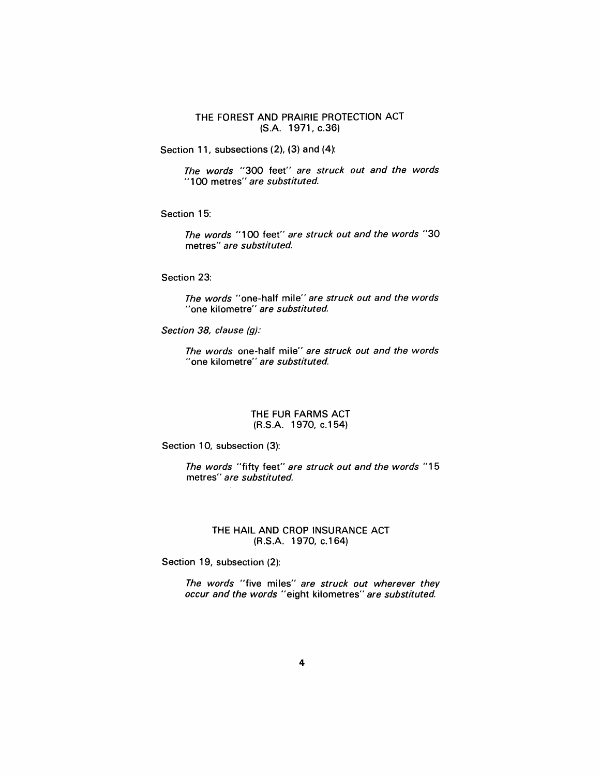# THE FOREST AND PRAIRIE PROTECTION ACT (S.A. 1971, c.36)

Section 11, subsections (2), (3) and (4):

The words "300 feet" are struck out and the words "100 metres" are substituted.

Section 15:

The words "100 feet" are struck out and the words "30 metres" are substituted.

Section 23:

The words "one-half mile" are struck out and the words "one kilometre" are substituted.

Section 38, clause (g):

The words one-half mile" are struck out and the words "one kilometre" are substituted.

#### THE FUR FARMS ACT (R.S.A. 1970, c.154)

Section 10, subsection (3):

The words "fifty feet" are struck out and the words "15 metres" are substituted.

# THE HAIL AND CROP INSURANCE ACT (R.S.A. 1970, c.164)

Section 19, subsection (2):

The words "five miles" are struck out wherever they occur and the words "eight kilometres" are substituted.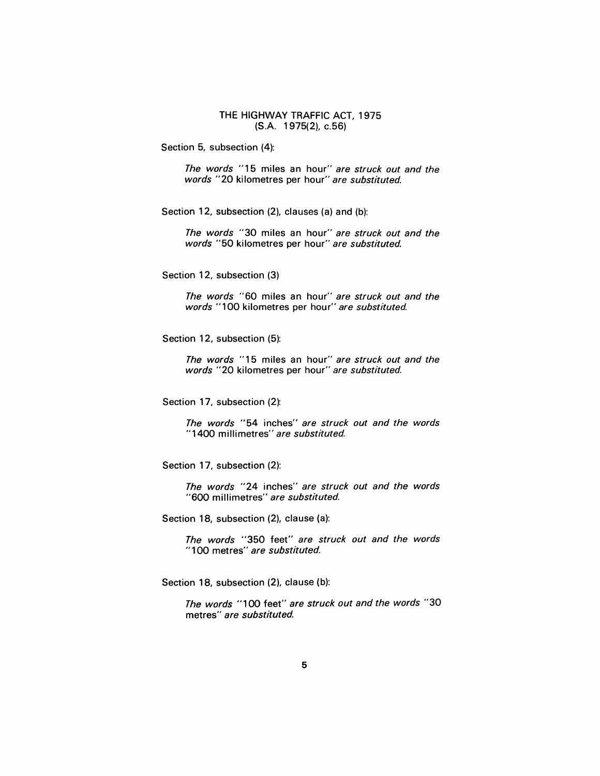THE HIGHWAY TRAFFIC ACT, 1975 (S.A. 1975(2), c.56)

Section 5, subsection (4):

The words "15 miles an hour" are struck out and the words "20 kilometres per hour" are substituted.

Section 12, subsection (2), clauses (a) and (b):

The words "30 miles an hour" are struck out and the words "50 kilometres per hour" are substituted.

Section 12, subsection (3)

The words "60 miles an hour" are struck out and the words "100 kilometres per hour" are substituted.

Section 12, subsection (5):

The words "15 miles an hour" are struck out and the words "20 kilometres per hour" are substituted.

Section 17, subsection (2):

The words "54 inches" are struck out and the words "1400 millimetres" are substituted.

Section 17, subsection (2):

The words "24 inches" are struck out and the words "600 millimetres" are substituted.

Section 18, subsection (2), clause (a):

The words "350 feet" are struck out and the words "100 metres" are substituted.

Section 18, subsection (2), clause (b):

The words "100 feet" are struck out and the words "30 metres" are substituted.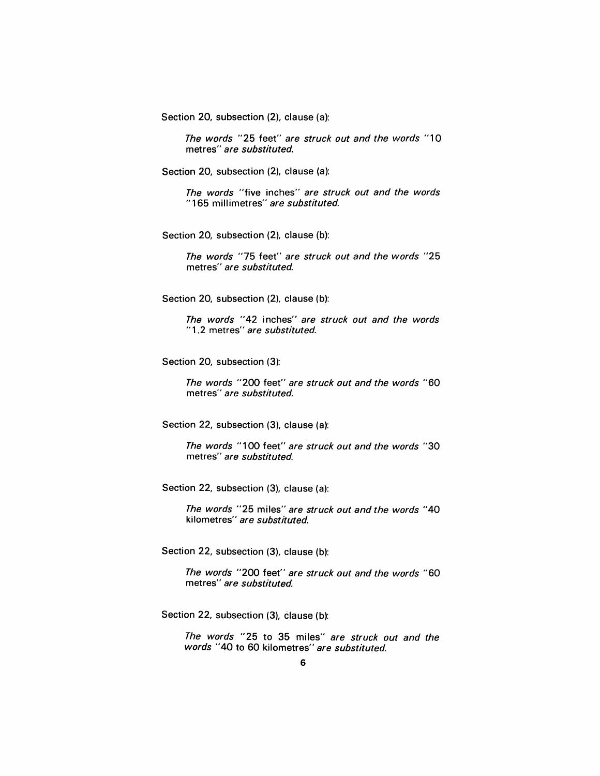Section 20, subsection (2), clause (a):

The words "25 feet" are struck out and the words "10 metres" are substituted.

Section 20, subsection (2), clause (a):

The words "five inches" are struck out and the words "165 millimetres" are substituted.

Section 20, subsection (2), clause (b):

The words "75 feet" are struck out and the words "25 metres" are substituted.

Section 20, subsection (2), clause (b):

The words "42 inches" are struck out and the words "1.2 metres" are substituted.

Section 20, subsection (3):

The words "200 feet" are struck out and the words "60 metres" are substituted.

Section 22, subsection (3), clause (a):

The words "100 feet" are struck out and the words "30 metres" are substituted.

Section 22, subsection (3), clause (a):

The words "25 miles" are struck out and the words "40 kilometres" are substituted.

Section 22, subsection (3), clause (b):

The words "200 feet" are struck out and the words "60 metres" are substituted.

Section 22, subsection (3), clause (b):

The words "25 to 35 miles" are struck out and the words "40 to 60 kilometres" are substituted.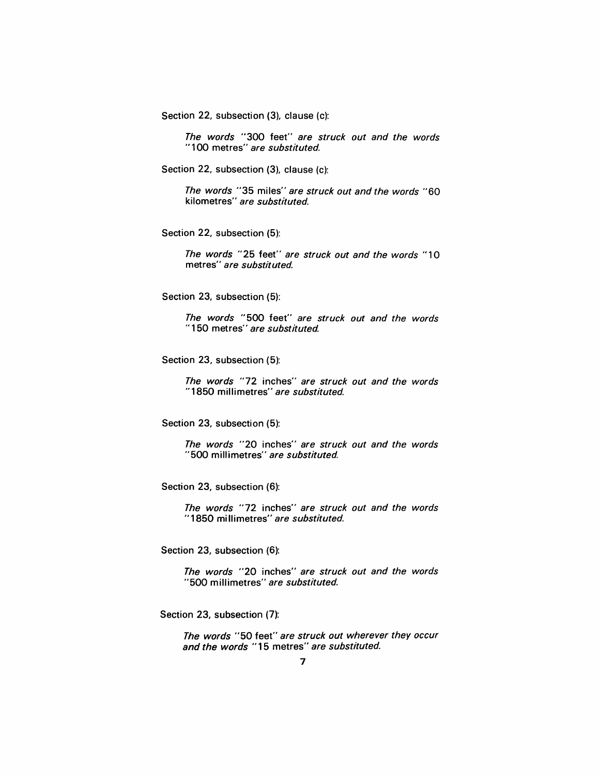Section 22, subsection (3), clause (c):

The words "300 feet" are struck out and the words "100 metres" are substituted.

Section 22, subsection (3), clause (c):

The words "35 miles" are struck out and the words "60 kilometres" are substituted.

Section 22, subsection (5):

The words "25 feet" are struck out and the words "10 metres" are substituted.

Section 23, subsection (5):

The words "500 feet" are struck out and the words "150 metres" are substituted.

Section 23, subsection (5):

The words "72 inches" are struck out and the words "1850 millimetres" are substituted.

Section 23, subsection (5):

The words "20 inches" are struck out and the words "500 millimetres" are substituted.

Section 23, subsection (6):

The words "72 inches" are struck out and the words "1850 millimetres" are substituted.

Section 23, subsection (6):

The words "20 inches" are struck out and the words "500 millimetres" are substituted.

Section 23, subsection (7):

The words "50 feet" are struck out wherever they occur and the words "15 metres" are substituted.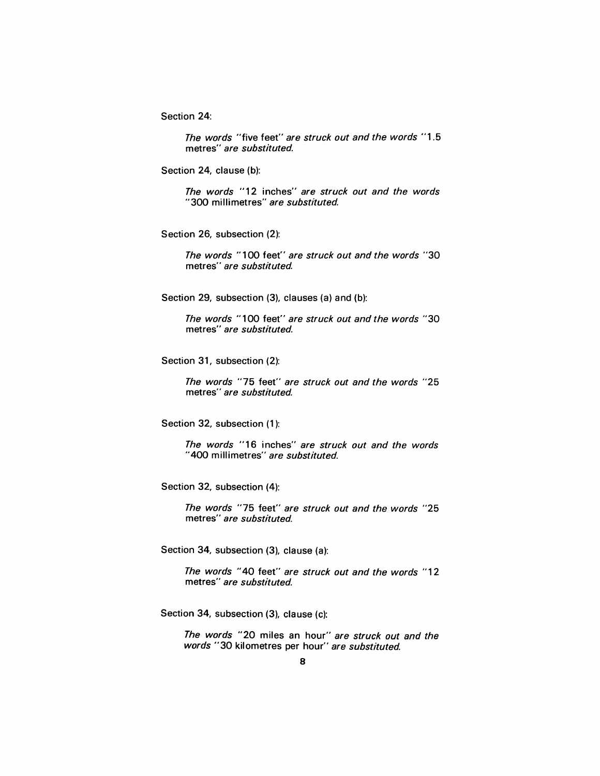Section 24:

The words "five feet" are struck out and the words "1.5 metres" are substituted.

Section 24, clause (b):

The words "12 inches" are struck out and the words "300 millimetres" are substituted.

Section 26, subsection (2):

The words "100 feet" are struck out and the words *"30*  metres" are substituted.

Section 29, subsection (3), clauses (a) and (b):

The words "100 feet" are struck out and the words *"30*  metres" are substituted.

Section 31, subsection (2):

The words "75 feet" are struck out and the words "25 metres" are substituted.

Section 32, subsection (1):

The words "16 inches" are struck out and the words "400 millimetres" are substituted.

Section 32, subsection (4):

The words "75 feet" are struck out and the words "25 metres" are substituted.

Section 34, subsection (3), clause (a):

The words "40 feet" are struck out and the words "12 metres" are substituted.

Section 34, subsection (3), clause (c):

The words "20 miles an hour" are struck out and the words "30 kilometres per hour" are substituted.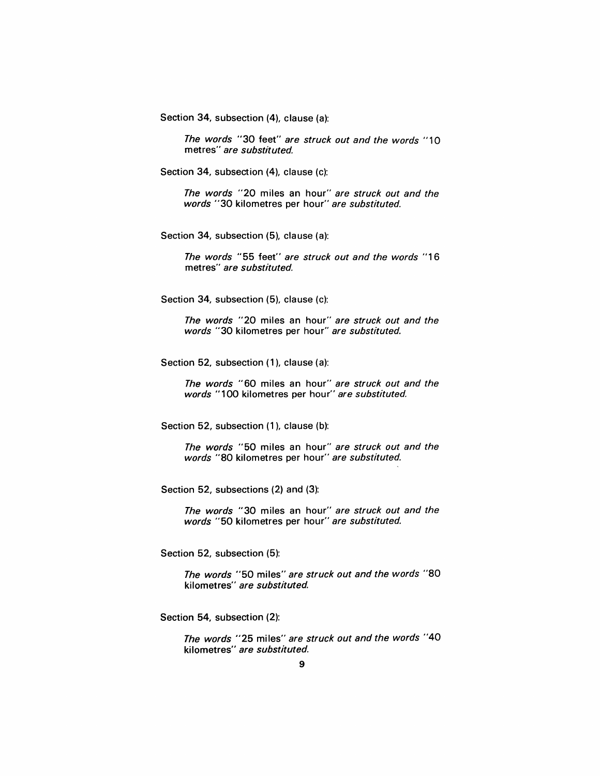Section 34, subsection (4), clause (a):

The words "30 feet" are struck out and the words "10 metres" are substituted.

Section 34, subsection (4), clause (c):

The words "20 miles an hour" are struck out and the words "30 kilometres per hour" are substituted.

Section 34, subsection (5), clause (a):

The words "55 feet" are struck out and the words "16 metres" are substituted.

Section 34, subsection (5), clause (c):

The words "20 miles an hour" are struck out and the words "30 kilometres per hour" are substituted.

Section 52, subsection (1), clause (a):

The words "60 miles an hour" are struck out and the words "100 kilometres per hour" are substituted.

Section 52, subsection (1), clause (b):

The words "50 miles an hour" are struck out and the words "80 kilometres per hour" are substituted.

Section 52, subsections (2) and (3):

The words "30 miles an hour" are struck out and the words "50 kilometres per hour" are substituted.

Section 52, subsection (5):

The words "50 miles" are struck out and the words "80 kilometres" are substituted.

Section 54, subsection (2):

The words "25 miles" are struck out and the words "40 kilometres" are substituted.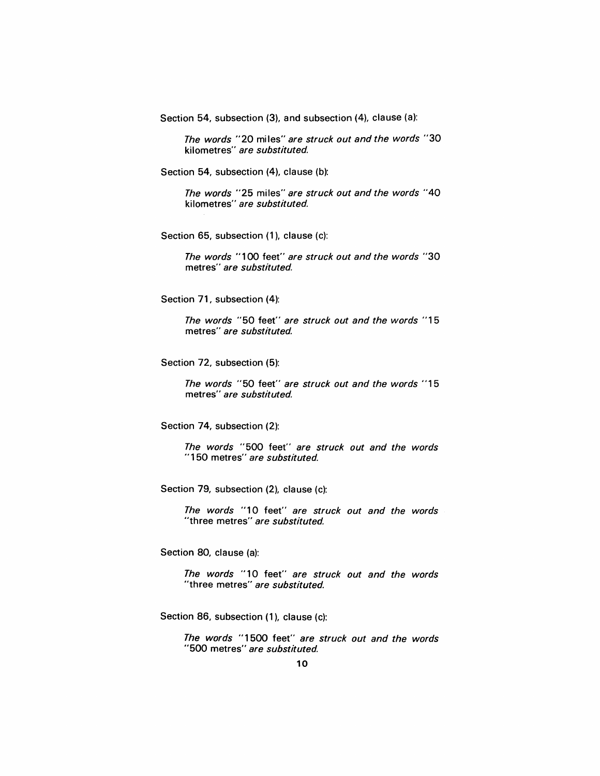Section 54, subsection (3), and subsection (4), clause (a):

The words "20 miles" are struck out and the words "30 kilometres" are substituted.

Section 54, subsection (4), clause (b):

The words "25 miles" are struck out and the words "40 kilometres" are substituted.

Section 65, subsection (1), clause (c):

The words "1 00 feet" are struck out and the words "30 metres" are substituted.

Section 71, subsection (4):

The words "50 feet" are struck out and the words "15 metres" are substituted

Section 72, subsection (5):

The words "50 feet" are struck out and the words "15 metres" are substituted.

Section 74, subsection (2):

The words "500 feet" are struck out and the words "150 metres" are substituted.

Section 79, subsection (2), clause (c):

The words "10 feet" are struck out and the words "three metres" are substituted.

Section 80, clause (a):

The words "10 feet" are struck out and the words "three metres" are substituted.

Section 86, subsection (1), clause (c):

The words "1500 feet" are struck out and the words "500 metres" are substituted.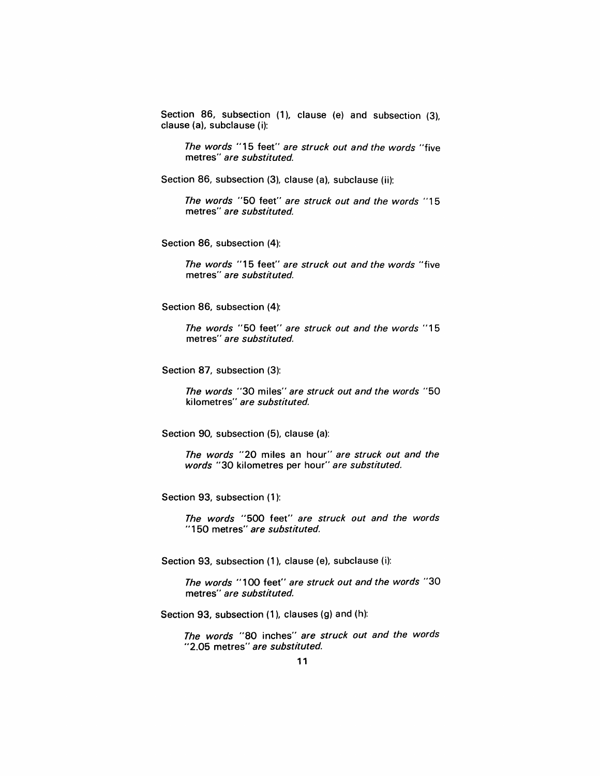Section 86, subsection (1), clause (e) and subsection (3), clause (a), subclause (i):

The words "15 feet" are struck out and the words "five metres" are substituted.

Section 86, subsection (3), clause (a), subclause (ii):

The words "50 feet" are struck out and the words "15 metres" are substituted.

Section 86, subsection (4):

The words "15 feet" are struck out and the words "five metres" are substituted.

Section 86, subsection (4):

The words "50 feet" are struck out and the words "15 metres" are substituted.

Section 87, subsection (3):

The words "30 miles" are struck out and the words "50 kilometres" are substituted.

Section 90, subsection (5), clause (a):

The words "20 miles an hour" are struck out and the words "30 kilometres per hour" are substituted.

Section 93, subsection (1):

The words "500 feet" are struck out and the words "150 metres" are substituted.

Section 93, subsection (1), clause (e), subclause (i):

The words "100 feet" are struck out and the words "30 metres" are substituted.

Section 93, subsection (1), clauses (g) and (h):

The words "80 inches" are struck out and the words "2.05 metres" are substituted.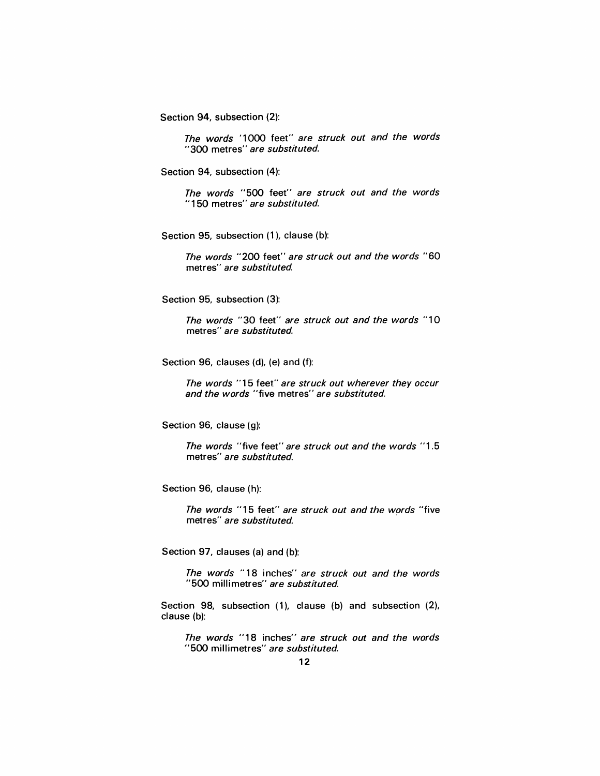Section 94, subsection (2):

The words '1000 feet" are struck out and the words "300 metres" are substituted.

Section 94, subsection (4):

The words "500 feet" are struck out and the words "150 metres" are substituted.

Section 95, subsection (1), clause (b):

The words "200 feet" are struck out and the words "60 metres" are substituted.

Section 95, subsection (3):

The words "30 feet" are struck out and the words "10 metres" are substituted.

Section 96, clauses (d), (e) and (f):

The words "15 feet" are struck out wherever they occur and the words "five metres" are substituted.

Section 96, clause (g):

The words "five feet" are struck out and the words "1.5 metres" are substituted.

Section 96, clause (h):

The words "15 feet" are struck out and the words "five metres" are substituted.

Section 97, clauses (a) and (b):

The words "18 inches" are struck out and the words "500 millimetres" are substituted.

Section 98, subsection (1), clause (b) and subsection (2), clause (b):

The words "18 inches" are struck out and the words "500 millimetres" are substituted.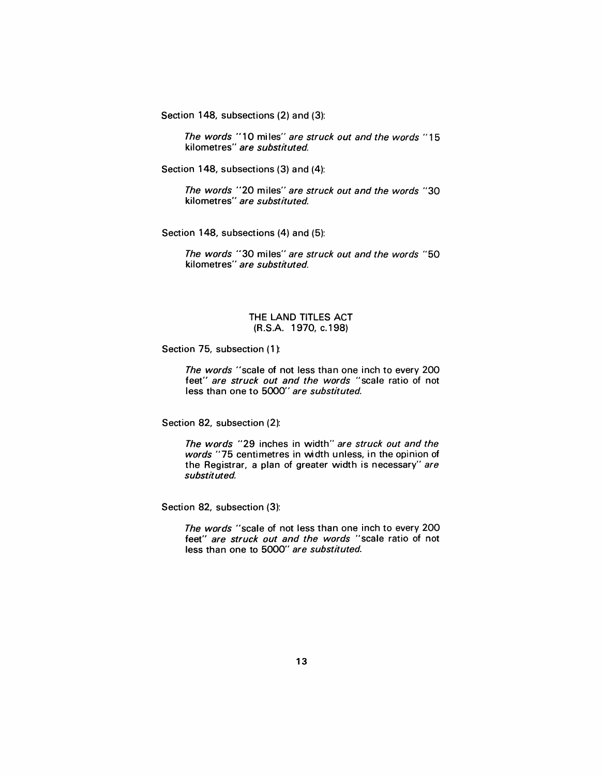Section 148, subsections (2) and (3):

The words "10 miles" are struck out and the words "15 kilometres" are substituted.

Section 148, subsections (3) and (4):

The words "20 miles" are struck out and the words "30 kilometres" are substituted.

Section 148, subsections (4) and (5):

The words "30 miles" are struck out and the words "50 kilometres" are substituted.

# THE LAND TITLES ACT (R.S.A. 1970, c.198)

Section 75, subsection (1):

The words "scale of not less than one inch to every 200 feet" are struck out and the words "scale ratio of not less than one to 5000" are substituted.

Section 82, subsection (2):

The words "29 inches in width" are struck out and the words "75 centimetres in width unless, in the opinion of the Registrar, a plan of greater width is necessary" are substituted.

Section 82, subsection (3):

The words "scale of not less than one inch to every 200 feet" are struck out and the words "scale ratio of not less than one to 5000" are substituted.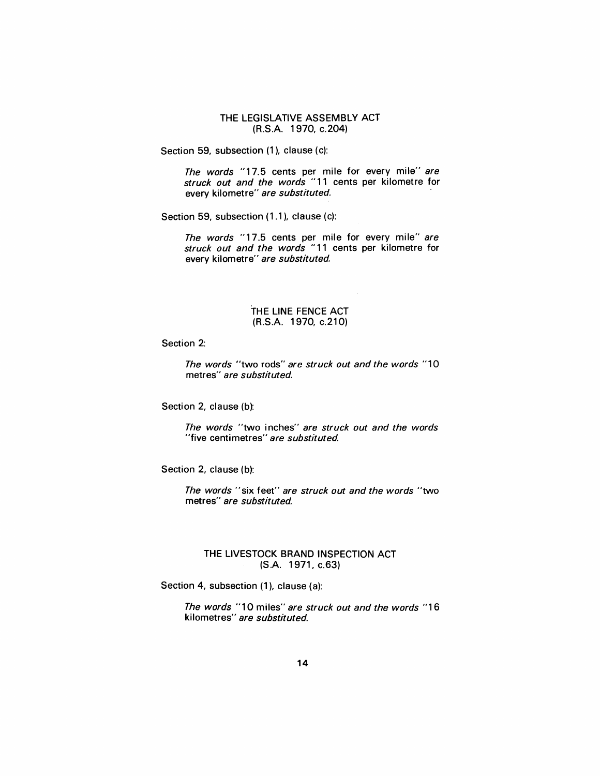THE LEGISLATIVE ASSEMBLY ACT (R.S.A. 1970, c.204)

Section 59, subsection (1), clause (c):

The words "17.5 cents per mile for every mile" are struck out and the words "11 cents per kilometre for every kilometre" are substituted.

Section 59, subsection (1.1), clause (c):

The words "17.5 cents per mile for every mile" are struck out and the words "11 cents per kilometre for every kilometre" are substituted.

# THE LINE FENCE ACT (R.S.A. 1970, c.210)

Section 2:

The words "two rods" are struck out and the words "10 metres" are substituted.

Section 2, clause (b):

The words "two inches" are struck out and the words "five centimetres" are substituted.

Section 2, clause (b):

The words "six feet" are struck out and the words "two metres" are substituted

#### THE LIVESTOCK BRAND INSPECTION ACT (S.A. 1971, c.63)

Section 4, subsection (1), clause (a):

The words "10 miles" are struck out and the words "16 kilometres" are substituted.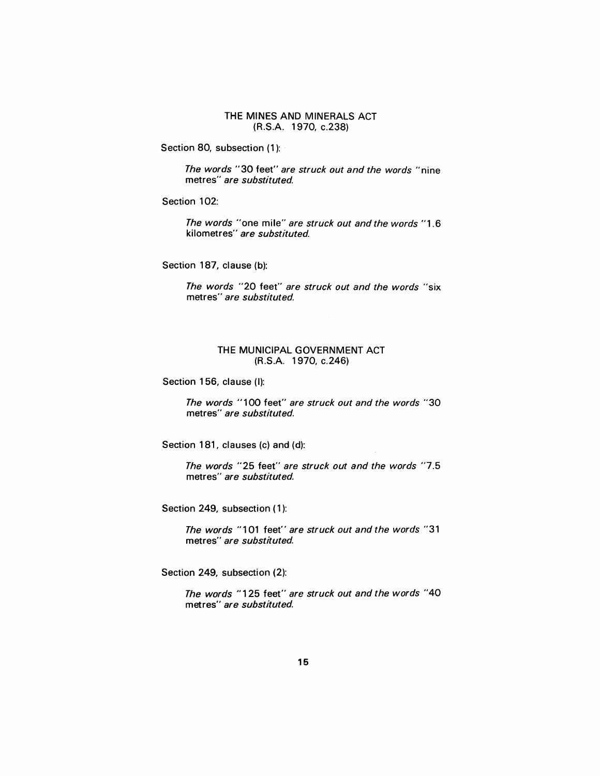#### THE MINES AND MINERALS ACT (R.S.A. 1970, c.238)

Section 80, subsection (1):

The words "30 feet" are struck out and the words "nine metres" are substituted.

Section 102:

The words "one mile" are struck out and the words "1.6 kilometres" *are substituted.* 

Section 187, clause (b):

The words "20 feet" are struck out and the words "six metres" are substituted.

# THE MUNICIPAL GOVERNMENT ACT (R.S.A. 1970, c.246)

Section 156, clause (I):

The words "100 feet" are struck out and the words "30 metres" are substituted.

Section 181, clauses (c) and (d):

The words "25 feet" are struck out and the words "7.5 metres" are substituted.

Section 249, subsection (1):

The words "101 feet" are struck out and the words "31 metres" are substituted.

Section 249, subsection (2):

The words "125 feet" are struck out and the words "40 metres" are substituted.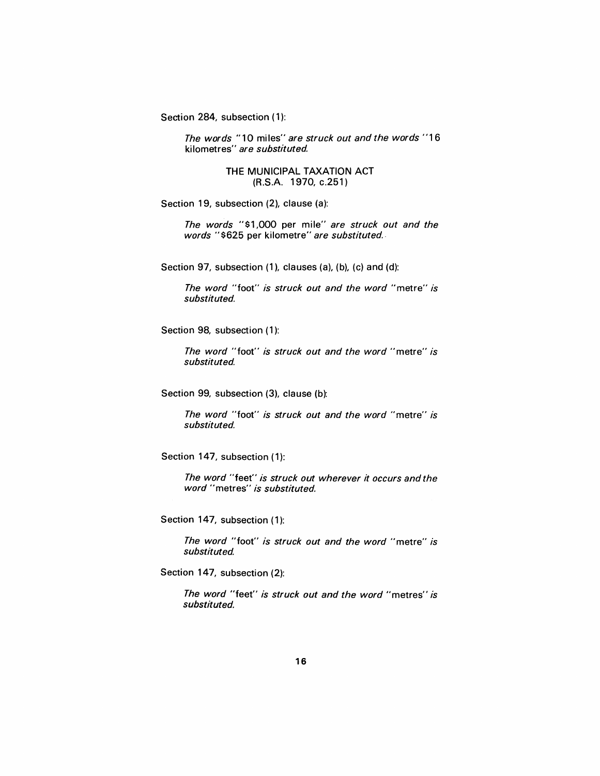Section 284, subsection (1):

The words "10 miles" are struck out and the words "16 kilometres" are substituted

# THE MUNICIPAL TAXATION ACT (R.S.A. 1970, c.251)

Section 19, subsection (2), clause (a):

The words "\$1,000 per mile" are struck out and the words "\$625 per kilometre" are substituted.

Section 97, subsection (1), clauses (a), (b), (c) and (d):

The word "foot" is struck out and the word "metre" is substituted.

Section 98, subsection (1):

The word "foot" is struck out and the word "metre" is substituted.

Section 99, subsection (3), clause (b):

The word "foot" is struck out and the word "metre" is substituted.

Section 147, subsection (1):

The word "feet" is struck out wherever it occurs and the word "metres" is substituted.

Section 147, subsection (1):

The word "foot" is struck out and the word "metre" is substituted

Section 147, subsection (2):

The word "feet" is struck out and the word "metres" is substituted.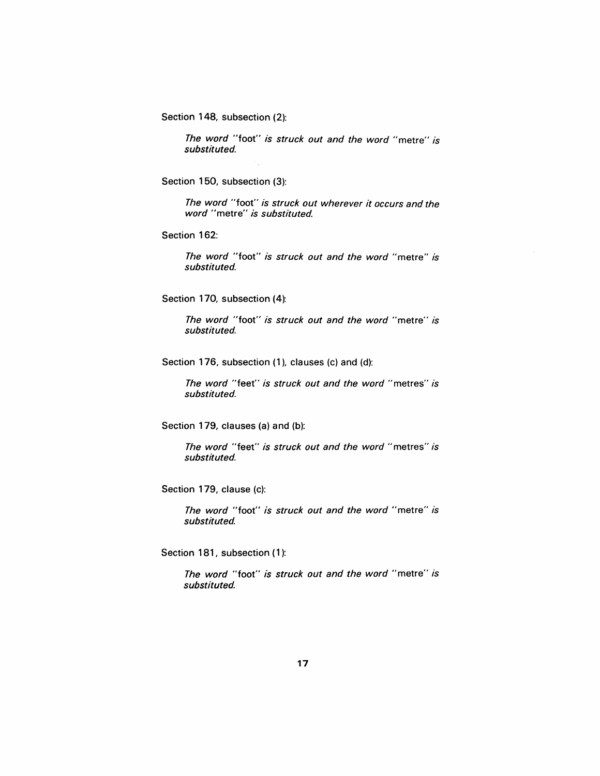Section 148, subsection (2):

*The word* "foot" *is struck out and the word"* metre" *is substituted.* 

Section 150, subsection (3):

*The word* "foot" *is struck out wherever it occurs and the word"* metre" *is substituted.* 

Section 162:

*The word* "foot" *is struck out and the word* "metre" *is substituted.* 

Section 170, subsection (4):

*The word* "foot" *is struck out and the word* "metre" *is substituted.* 

Section 176, subsection (1), clauses (c) and (d):

*The word* "feet" *is struck out and the word"* metres" *is substituted.* 

Section 179, clauses (a) and (b):

*The word* "feet" *is struck out and the word* "metres" *is substituted.* 

Section 179, clause (c):

*The word* "foot" *is struck out and the word* "metre" *is substituted.* 

Section 181, subsection (1):

*The word* "foot" *is struck out and the word"* metre" *is substituted.*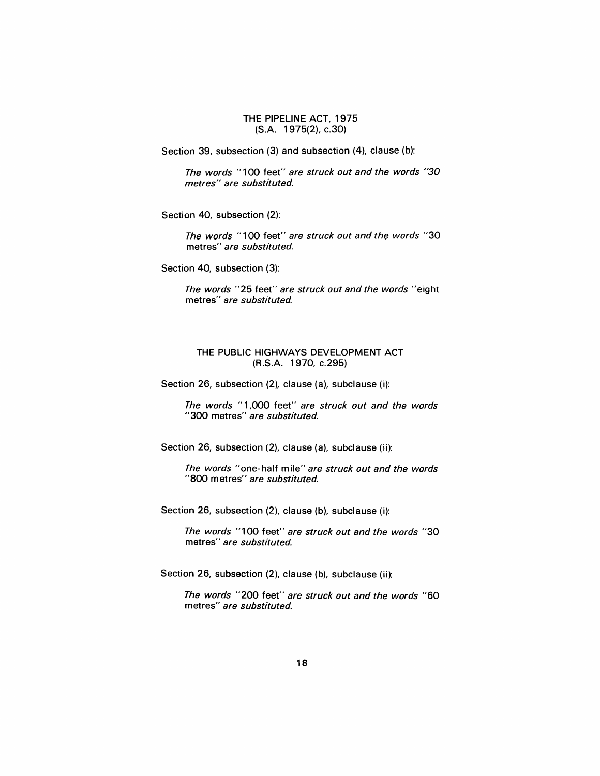# THE PIPELINE ACT, 1975 (S.A. 1975(2), c.30)

Section 39, subsection (3) and subsection (4), clause (b):

The words "100 feet" are struck out and the words "30 metres" are substituted.

Section 40, subsection (2):

The words "1 00 feet" are struck out and the words "30 metres" are substituted.

Section 40, subsection (3):

The words "25 feet" are struck out and the words "eight metres" are substituted

# THE PUBLIC HIGHWAYS DEVELOPMENT ACT (R.S.A. 1970, c.295)

Section 26, subsection (2), clause (a), subclause (i):

The words "1 ,000 feet" are struck out and the words "300 metres" are substituted.

Section 26, subsection (2), clause (a), subclause (ii):

The words "one-half mile" are struck out and the words "800 metres" are substituted.

Section 26, subsection (2), clause (b), subclause (i):

The words "100 feet" are struck out and the words *"30*  metres" are substituted.

Section 26, subsection (2), clause (b), subclause (ii):

The words "200 feet" are struck out and the words "60 metres" are substituted.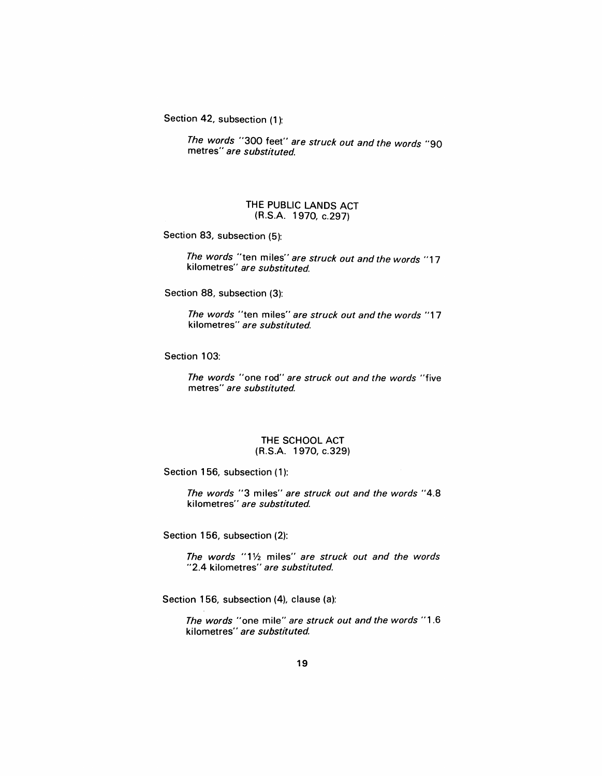Section 42, subsection (1):

The words "300 feet" are struck out and the words "90 metres" are substituted.

# THE PUBLIC LANDS ACT (R.S.A. 1970, c.297)

Section 83, subsection (5):

The words "ten miles" are struck out and the words "17 kilometres" are substituted.

Section 88, subsection (3):

The words "ten miles" are struck out and the words "17 kilometres" are substituted.

Section 103:

The words "one rod" are struck out and the words "five metres" are substituted.

## THE SCHOOL ACT (R.S.A. 1970, c.329)

Section 156, subsection (1):

The words "3 miles" are struck out and the words "4.8 kilometres" are substituted.

Section 156, subsection (2):

The words " $1\frac{1}{2}$  miles" are struck out and the words "2.4 kilometres" are substituted.

Section 156, subsection (4), clause (a):

The words "one mile" are struck out and the words "1.6 kilometres" are substituted.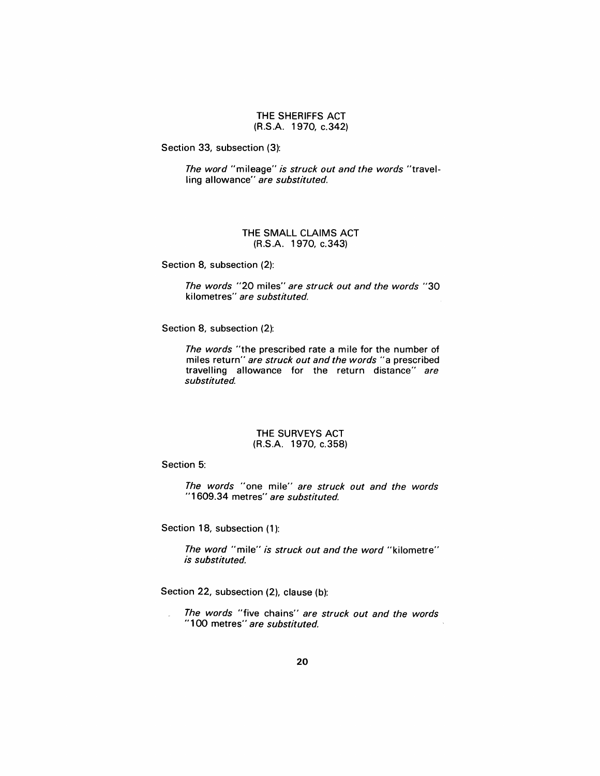#### THE SHERIFFS ACT (R.S.A. 1970, c.342)

Section 33, subsection (3):

The word "mileage" is struck out and the words "travelling allowance" are substituted.

# THE SMALL CLAIMS ACT (R.S.A. 1970, c.343)

Section 8, subsection (2):

The words "20 miles" are struck out and the words "30 kilometres" are substituted.

Section 8, subsection (2):

The words "the prescribed rate a mile for the number of miles return" are struck out and the words "a prescribed travelling allowance for the return distance" are substituted.

#### THE SURVEYS ACT (R.S.A. 1970, c.358)

Section 5:

The words "one mile" are struck out and the words "1 609.34 metres" are substituted.

Section 18, subsection (1):

The word "mile" is struck out and the word "kilometre" is substituted.

Section 22, subsection (2), clause (b):

The words "five chains" are struck out and the words "100 metres" are substituted.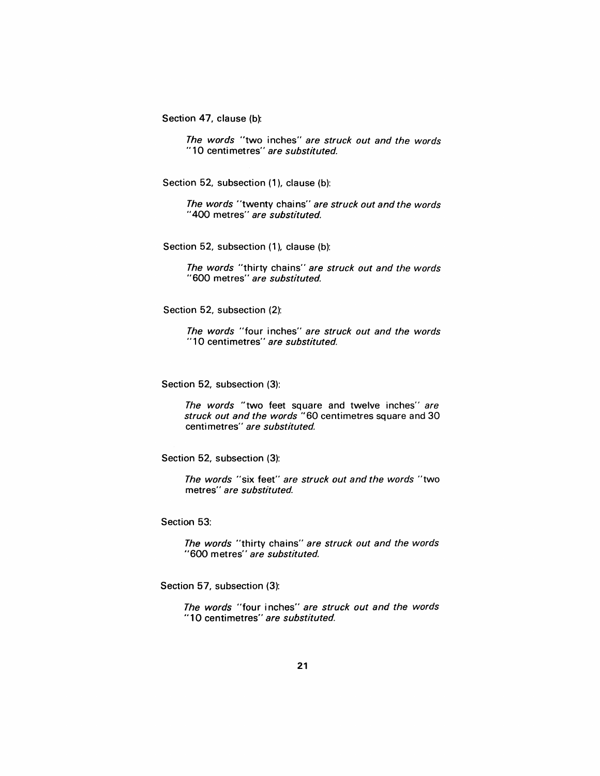Section 47, clause (b):

The words "two inches" are struck out and the words "10 centimetres" are substituted.

Section 52, subsection (1), clause (b):

The words "twenty chains" are struck out and the words "400 metres" are substituted.

Section 52, subsection (1), clause (b):

The words "thirty chains" are struck out and the words "600 metres" are substituted.

Section 52, subsection (2):

The words "four inches" are struck out and the words "10 centimetres" are substituted.

Section 52, subsection (3):

The words "two feet square and twelve inches" are struck out and the words "60 centimetres square and 30 centimetres" are substituted.

Section 52, subsection (3):

The words "six feet" are struck out and the words "two metres" are substituted.

Section 53:

The words "thirty chains" are struck out and the words "600 metres" are substituted.

Section 57, subsection (3):

The words "four inches" are struck out and the words "10 centimetres" are substituted.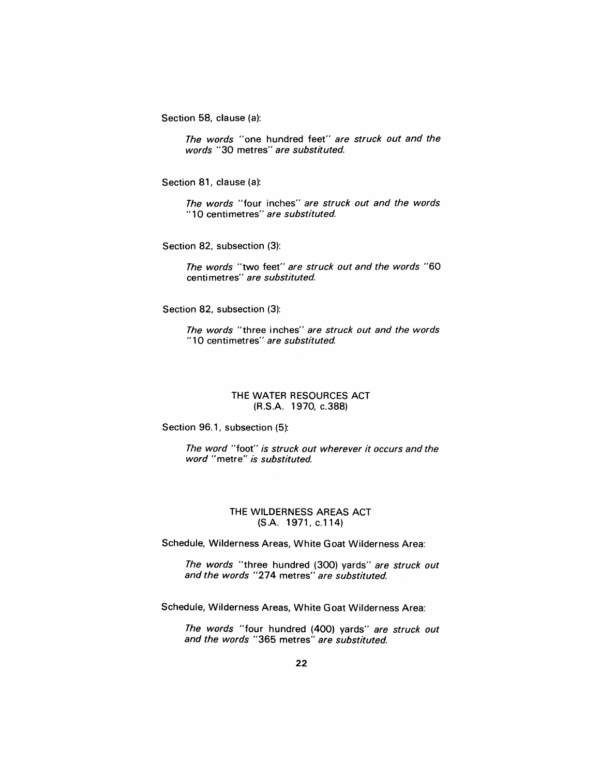Section 58, clause (a):

The words "one hundred feet" are struck out and the words "30 metres" are substituted.

Section 81, clause (a):

The words "four inches" are struck out and the words "10 centimetres" are substituted.

Section 82, subsection (3):

The words "two feet" are struck out and the words "60 centimetres" are substituted.

Section 82, subsection (3):

The words "three inches" are struck out and the words "10 centimetres" are substituted.

# THE WATER RESOURCES ACT (R.S.A. 1970, c.388)

Section 96.1, subsection (5):

The word "foot" is struck out wherever it occurs and the word "metre" is substituted.

# THE WILDERNESS AREAS ACT (S.A.1971,c.114)

Schedule, Wilderness Areas, White Goat Wilderness Area:

The words "three hundred (300) yards" are struck out and the words "274 metres" are substituted.

Schedule, Wilderness Areas, White Goat Wilderness Area:

The words "four hundred (400) yards" are struck out and the words "365 metres" are substituted.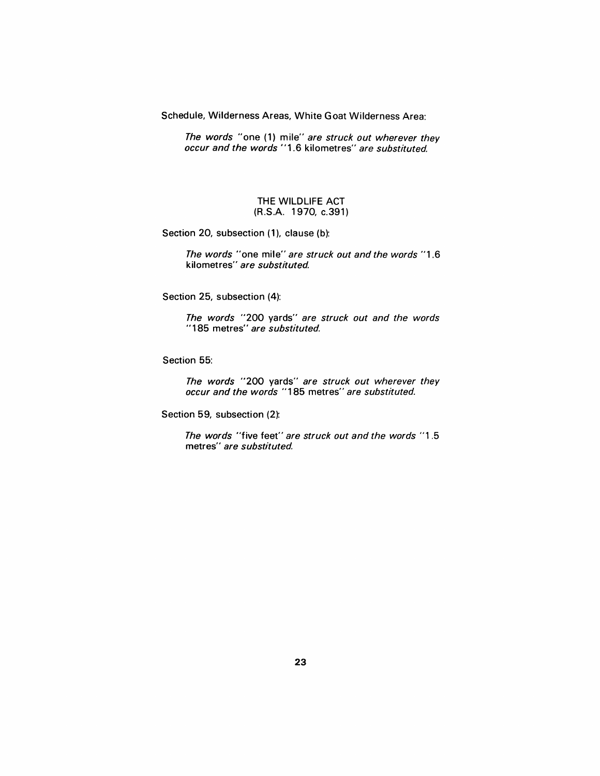Schedule, Wilderness Areas, White Goat Wilderness Area:

The words "one (1) mile" are struck out wherever they occur and the words "1.6 kilometres" are substituted.

# THE WILDLIFE ACT (R.S.A. 1970, c.391)

Section 20, subsection (1), clause (b):

The words "one mile" are struck out and the words *"1.6*  kilometres'' *are substituted.* 

Section 25, subsection (4):

The words "200 yards" are struck out and the words "185 metres" are substituted.

Section 55:

The words "200 yards" are struck out wherever they occur and the words "185 metres" are substituted.

Section 59, subsection (2):

The words "five feet" are struck out and the words "1 .5 metres" are substituted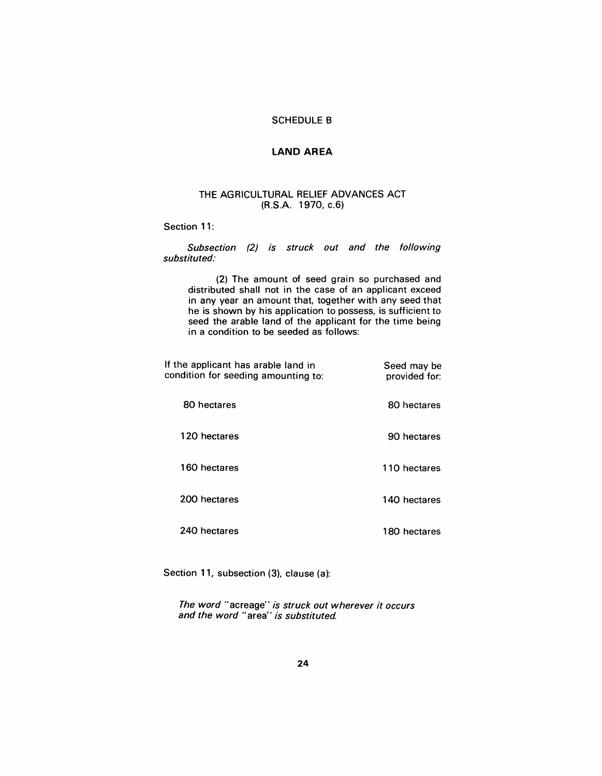# SCHEDULE B

# LAND AREA

# THE AGRICULTURAL RELIEF ADVANCES ACT (R.S.A. 1970, c.6)

Section 11:

Subsection (2) is struck out and the following substituted:

(2) The amount of seed grain so purchased and distributed shall not in the case of an applicant exceed in any year an amount that, together with any seed that he is shown by his application to possess, is sufficient to seed the arable land of the applicant for the time being in a condition to be seeded as follows:

| If the applicant has arable land in<br>condition for seeding amounting to: | Seed may be<br>provided for: |
|----------------------------------------------------------------------------|------------------------------|
| 80 hectares                                                                | 80 hectares                  |
| 120 hectares                                                               | 90 hectares                  |
| 160 hectares                                                               | 110 hectares                 |
| 200 hectares                                                               | 140 hectares                 |
| 240 hectares                                                               | 180 hectares                 |

Section 11, subsection (3), clause (a):

The word "acreage" is struck out wherever it occurs and the word "area" is substituted.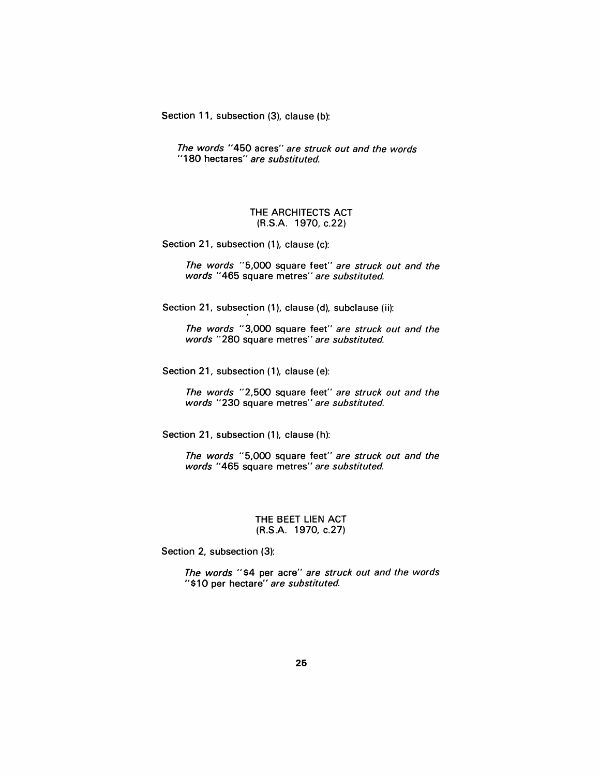Section 11, subsection (3), clause (b):

The words "450 acres" are struck out and the words "180 hectares" are substituted.

#### THE ARCHITECTS ACT (R.S.A. 1970, c.22)

Section 21, subsection (1), clause (c):

The words "5,000 square feet" are struck out and the words "465 square metres" are substituted.

Section 21, subsection (1), clause (d), subclause (ii):

The words "3,000 square feet" are struck out and the words "280 square metres" are substituted.

Section 21, subsection (1), clause (e):

The words "2,500 square feet" are struck out and the words "230 square metres" are substituted.

Section 21, subsection (1), clause (h):

The words "5,000 square feet" are struck out and the words "465 square metres" are substituted.

#### THE BEET LIEN ACT (R.S.A. 1970, c.27)

Section 2, subsection (3):

The words "\$4 per acre" are struck out and the words "\$10 per hectare" are substituted.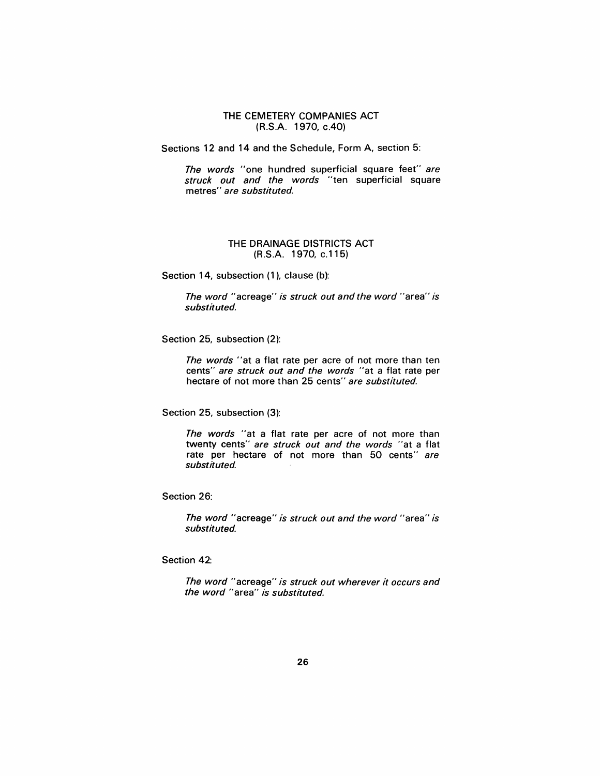THE CEMETERY COMPANIES ACT (R.S.A. 1970, c.40)

Sections 12 and 14 and the Schedule, Form A, section 5:

The words "one hundred superficial square feet" are struck out and the words "ten superficial square metres" are substituted.

#### THE DRAINAGE DISTRICTS ACT (R.S.A. 1970, c.115)

Section 14, subsection (1), clause (b):

The word "acreage" is struck out and the word "area" is substituted.

Section 25, subsection (2):

The words "at a flat rate per acre of not more than ten cents" are struck out and the words "at a flat rate per hectare of not more than 25 cents" are substituted.

Section 25, subsection (3):

The words "at a flat rate per acre of not more than twenty cents" are struck out and the words "at a flat rate per hectare of not more than 50 cents" are substituted.

Section 26:

The word "acreage" is struck out and the word "area" is substituted.

Section 42:

The word "acreage" is struck out wherever it occurs and the word "area" is substituted.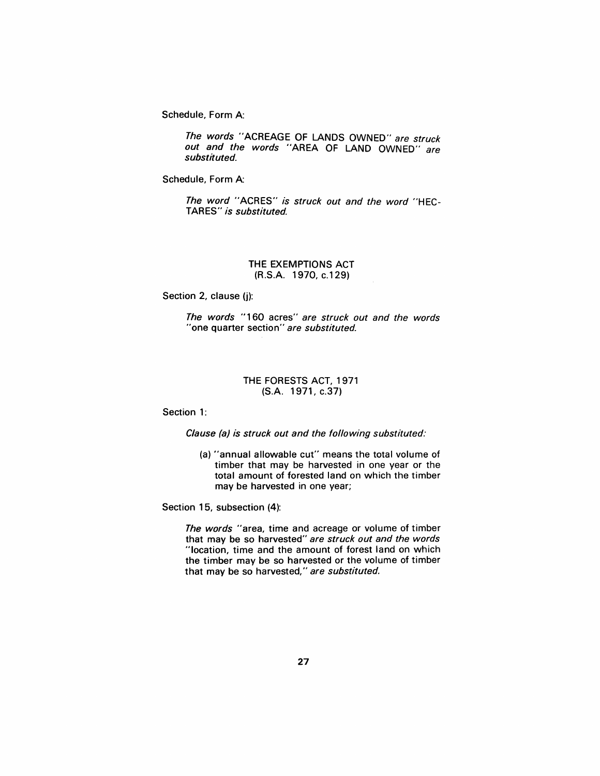Schedule, Form A:

The words "ACREAGE OF LANDS OWNED" are struck out and the words "AREA OF LAND OWNED" are substituted.

Schedule, Form A:

The word "ACRES" is struck out and the word "HEC-TARES" is substituted.

# THE EXEMPTIONS ACT (R.S.A. 1970, c.129)

Section 2, clause (j):

The words "160 acres" are struck out and the words "one quarter section" are substituted.

# THE FORESTS ACT, 1971 (S.A. 1971, c.37)

Section 1:

Clause (a) is struck out and the following substituted:

(a) "annual allowable cut" means the total volume of timber that may be harvested in one year or the total amount of forested land on which the timber may be harvested in one year;

Section 15, subsection (4):

The words "area, time and acreage or volume of timber that may be so harvested" are struck out and the words "location, time and the amount of forest land on which the timber may be so harvested or the volume of timber that may be so harvested," are substituted.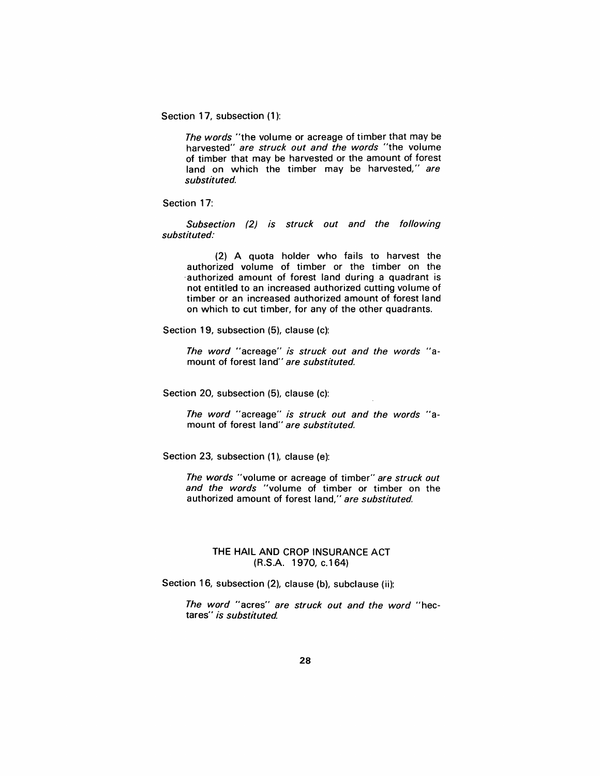Section 17, subsection (1):

The words "the volume or acreage of timber that may be harvested" are struck out and the words "the volume of timber that may be harvested or the amount of forest land on which the timber may be harvested," are substituted.

Section 17:

Subsection (2) is struck out and the following substituted:

(2) A quota holder who fails to harvest the authorized volume of timber or the timber on the ·authorized amount of forest land during a quadrant is not entitled to an increased authorized cutting volume of timber or an increased authorized amount of forest land on which to cut timber, for any of the other quadrants.

Section 19, subsection (5), clause (c):

The word "acreage" is struck out and the words "amount of forest land" are substituted.

Section 20, subsection (5), clause (c):

The word "acreage" is struck out and the words "amount of forest land" are substituted.

Section 23, subsection (1), clause (e):

The words "volume or acreage of timber" are struck out and the words "volume of timber or timber on the authorized amount of forest land," are substituted.

# THE HAIL AND CROP INSURANCE ACT (R.S.A. 1970, c.164)

Section 16, subsection (2), clause (b), subclause (ii):

The word "acres" are struck out and the word "hectares" is substituted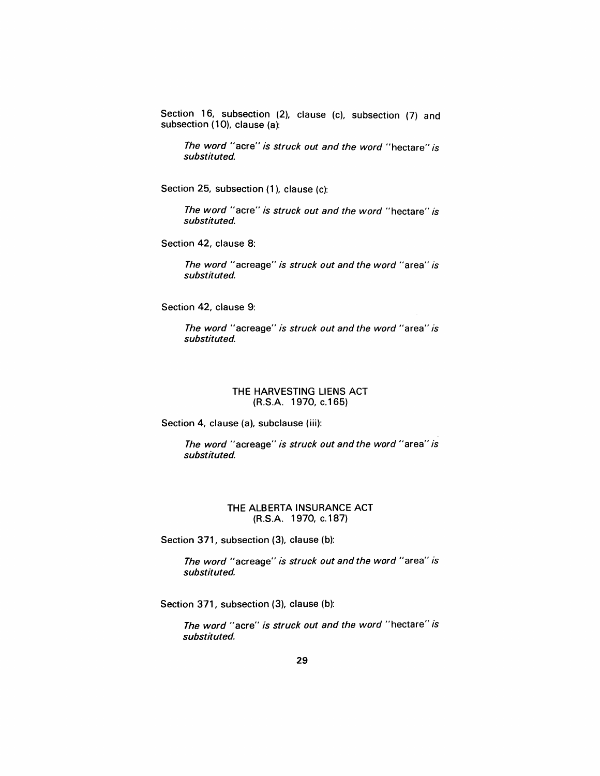Section 16, subsection (2), clause (c), subsection (7) and subsection (10), clause (a):

*The word* "acre" *is struck out and the word* "hectare" *is substituted.* 

Section 25, subsection (1), clause (c):

*The word"* acre" *is struck out and the word"* hectare" *is substituted.* 

Section 42, clause 8:

*The word* "acreage" *is struck out and the word* "area" *is substituted.* 

Section 42, clause 9:

*The word* "acreage" *is struck out and the word* "area" *is substituted.* 

#### THE HARVESTING LIENS ACT (R.S.A. 1970, c.165)

Section 4, clause (a), subclause (iii):

*The word"* acreage" *is struck out and the word"* area" *is substituted.* 

# THE ALBERTA INSURANCE ACT (R.S.A. 1970, c.187)

Section 371, subsection (3), clause (b):

*The word* "acreage" *is struck out and the word* "area" *is substituted.* 

Section 371, subsection (3), clause (b):

*The word* "acre" *is struck out and the word* "hectare" *is substituted.*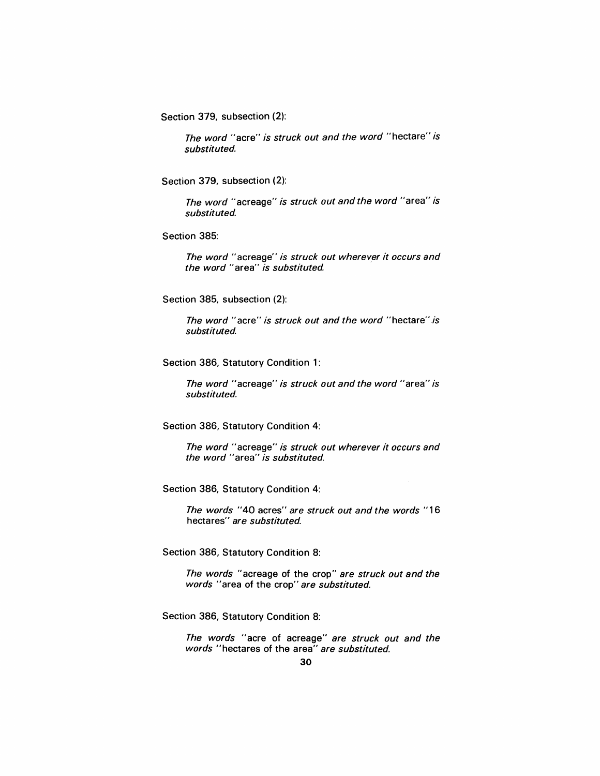Section 379, subsection (2):

The word "acre" is struck out and the word "hectare" is substituted.

Section 379, subsection (2):

The word "acreage" is struck out and the word "area" is substituted.

Section 385:

The word "acreage" is struck out wherever it occurs and the word "area" is substituted.

Section 385, subsection (2):

The word "acre" is struck out and the word "hectare" is substituted

Section 386, Statutory Condition 1:

The word "acreage" is struck out and the word "area" is substituted.

Section 386, Statutory Condition 4:

The word "acreage" is struck out wherever it occurs and the word "area" is substituted.

Section 386, Statutory Condition 4:

The words "40 acres" are struck out and the words "16 hectares" are substituted.

Section 386, Statutory Condition 8:

The words "acreage of the crop" are struck out and the words "area of the crop" are substituted.

Section 386, Statutory Condition 8:

The words "acre of acreage" are struck out and the words "hectares of the area" are substituted.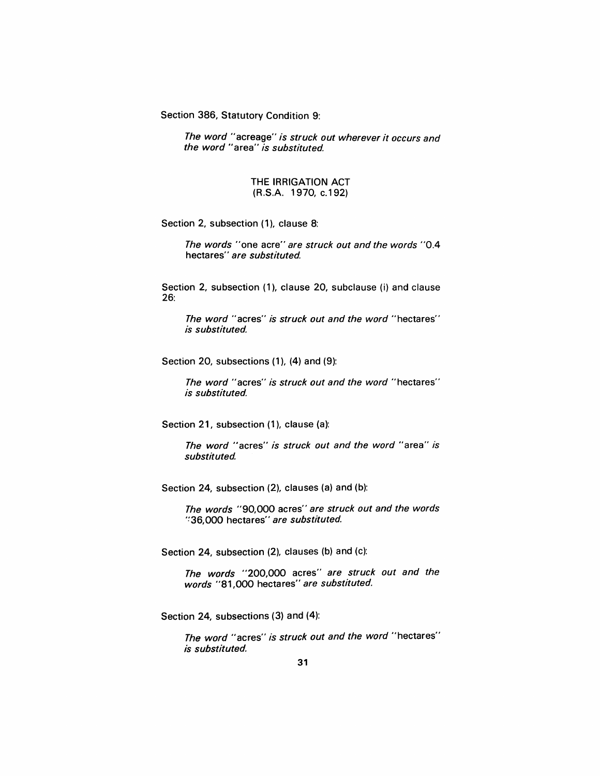Section 386, Statutory Condition 9:

The word "acreage" is struck out wherever it occurs and the word "area" is substituted.

#### THE IRRIGATION ACT (R.S.A. 1970, c.192)

Section 2, subsection (1), clause 8:

The words "one acre" are struck out and the words "0.4 hectares" are substituted.

Section 2, subsection (1), clause 20, subclause (i) and clause 26:

The word "acres" is struck out and the word "hectares" is substituted

Section 20, subsections (1), (4) and (9):

The word "acres" is struck out and the word "hectares" is substituted.

Section 21, subsection (1), clause (a):

The word "acres" is struck out and the word "area" is substituted

Section 24, subsection (2), clauses (a) and (b):

The words "90,000 acres" are struck out and the words ':36,000 hectares" are substituted

Section 24, subsection (2), clauses (b) and (c):

The words "200,000 acres" are struck out and the words "81,000 hectares" are substituted.

Section 24, subsections (3) and (4):

The word "acres" is struck out and the word "hectares" is substituted.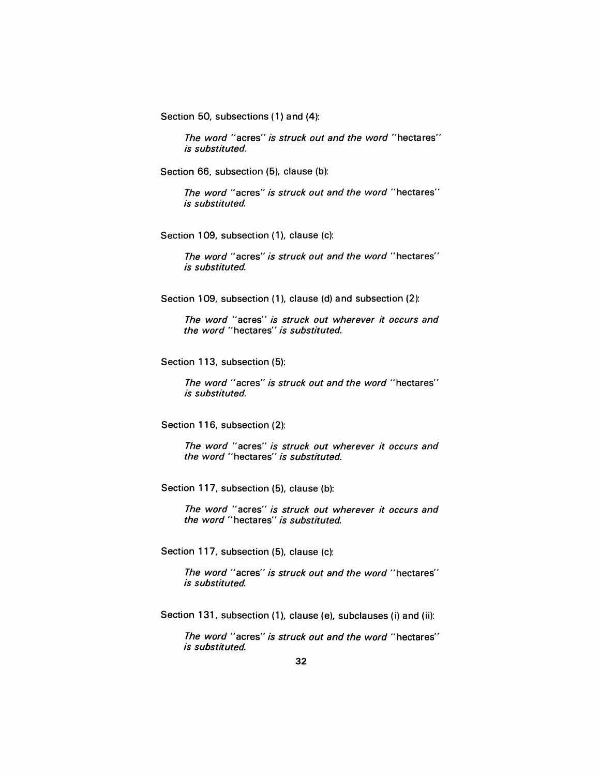Section 50, subsections (1) and (4):

*The word* "acres" *is struck out and the word* "hectares" *is substituted.* 

Section 66, subsection (5), clause (b):

*The word* "acres" *is struck out and the word* "hectares" *is substituted* 

Section 109, subsection (1), clause (c):

*The word"* acres" *is struck out and the word"* hectares" *is substituted* 

Section 109, subsection (1), clause (d) and subsection (2):

*The word* "acres" *is struck out wherever it occurs and the word* "hectares" *is substituted.* 

Section 113, subsection (5):

*The word"* acres" *is struck out and the word"* hectares" *is substituted.* 

Section 116, subsection (2):

*The word* "acres" *is struck out wherever it occurs and the word* "hectares" *is substituted.* 

Section 117, subsection (5), clause (b):

*The word* "acres" *is struck out wherever it occurs and the word"* hectares" *is substituted* 

Section 117, subsection (5), clause (c):

*The word"* acres" *is struck out and the word"* hectares" *is substituted* 

Section 131, subsection (1), clause (e), subclauses (i) and (ii):

*The word"* acres" *is struck out and the word* "hectares" *is substituted.*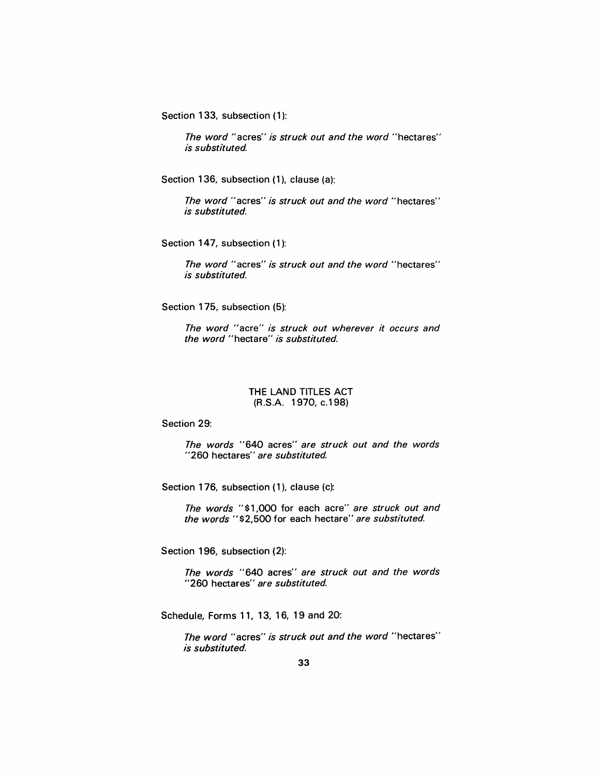Section 133, subsection (1):

The word "acres" is struck out and the word "hectares" is substituted

Section 136, subsection (1), clause (a):

The word "acres" is struck out and the word "hectares" is substituted.

Section 147, subsection (1):

The word "acres" is struck out and the word "hectares" is substituted.

Section 175, subsection (5):

The word "acre" is struck out wherever it occurs and the word "hectare" is substituted.

#### THE LAND TITLES ACT (R.S.A. 1970, c.198)

#### Section 29:

The words "640 acres" are struck out and the words "260 hectares" are substituted.

Section 176, subsection (1), clause (c):

The words "\$1,000 for each acre" are struck out and the words "\$2,500 for each hectare" are substituted.

Section 196, subsection (2):

The words "640 acres" are struck out and the words "260 hectares" are substituted.

Schedule, Forms 11, 13, 16, 19 and 20:

The word "acres" is struck out and the word "hectares" is substituted.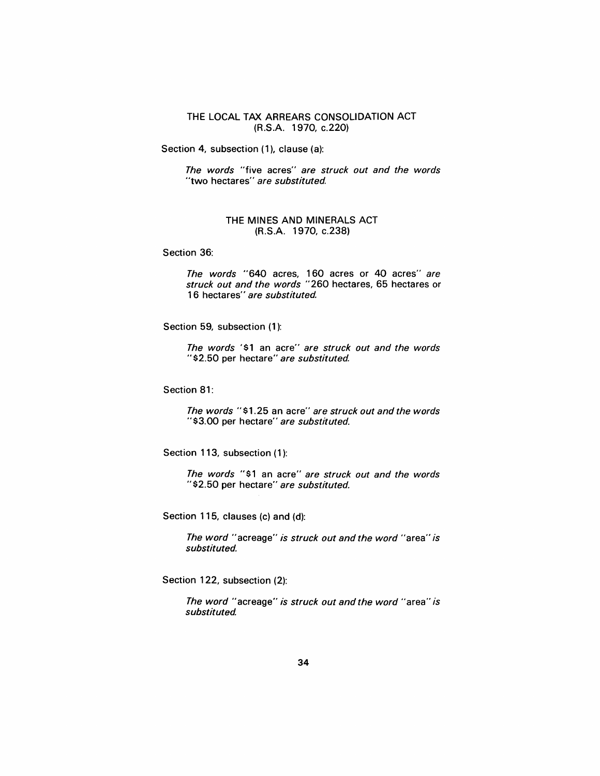# THE LOCAL TAX ARREARS CONSOLIDATION ACT (R.S.A. 1970, c.220)

Section 4, subsection (1), clause (a):

The words "five acres" are struck out and the words "two hectares" are substituted.

# THE MINES AND MINERALS ACT (R.S.A. 1970, c.238)

Section 36:

The words "640 acres, 160 acres or 40 acres" are struck out and the words "260 hectares, 65 hectares or 16 hectares" are substituted.

Section 59, subsection (1):

The words '\$1 an acre" are struck out and the words "\$2.50 per hectare" are substituted.

Section 81:

The words "\$1.25 an acre" are struck out and the words "\$3.00 per hectare" are substituted.

Section 113, subsection (1):

The words "\$1 an acre" are struck out and the words "\$2.50 per hectare" are substituted.

Section 115, clauses (c) and (d):

The word "acreage" is struck out and the word "area" is substituted.

Section 122, subsection (2):

The word "acreage" is struck out and the word "area" is substituted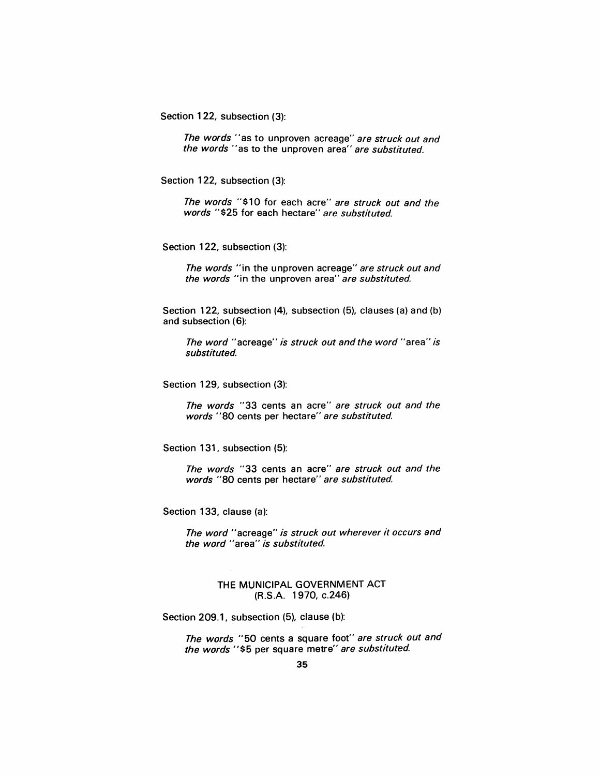Section 122, subsection (3):

The words "as to unproven acreage" are struck out and the words "as to the unproven area" are substituted.

Section 122, subsection (3):

The words "\$10 for each acre" are struck out and the words "\$25 for each hectare" are substituted.

Section 122, subsection (3):

The words "in the unproven acreage" are struck out and the words "in the unproven area" are substituted.

Section 122, subsection (4), subsection (5), clauses (a) and (b) and subsection (6):

The word "acreage" is struck out and the word "area" is substituted.

Section 129, subsection (3):

The words "33 cents an acre" are struck out and the words "80 cents per hectare" are substituted.

Section 131, subsection (5):

The words "33 cents an acre" are struck out and the words "80 cents per hectare" are substituted.

Section 133, clause (a):

The word "acreage" is struck out wherever it occurs and the word "area" is substituted.

> THE MUNICIPAL GOVERNMENT ACT (R.S.A. 1970, c.246)

Section 209.1, subsection (5), clause (b):

The words "50 cents a square foot" are struck out and the words "\$5 per square metre" are substituted.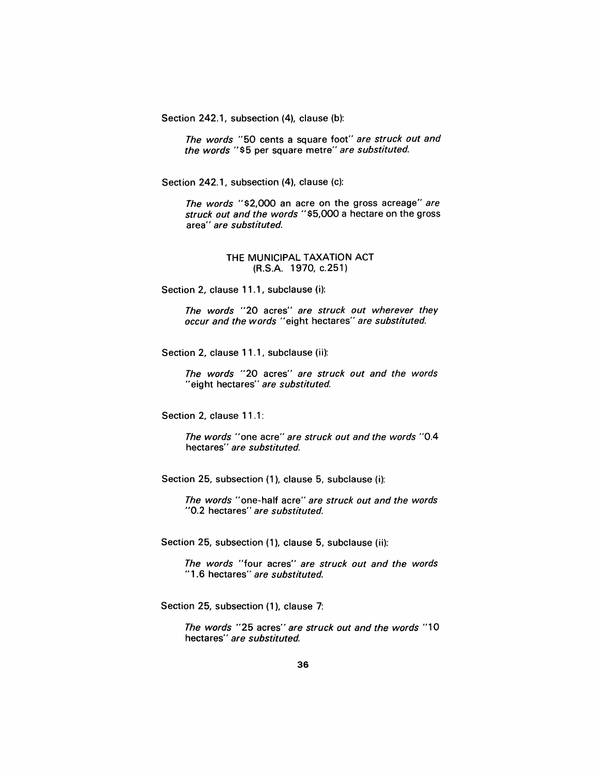Section 242.1, subsection (4), clause (b):

The words "50 cents a square foot" are struck out and the words "\$5 per square metre" are substituted.

Section 242.1, subsection (4), clause (c):

The words "\$2,000 an acre on the gross acreage" are struck out and the words "\$5,000 a hectare on the gross area" are substituted.

> THE MUNICIPAL TAXATION ACT (R.S.A. 1970, c.251)

Section 2, clause 11.1, subclause (i):

The words "20 acres" are struck out wherever they occur and the words "eight hectares" are substituted.

Section 2, clause 11.1, subclause (ii):

The words "20 acres" are struck out and the words "eight hectares" are substituted.

Section 2, clause 11.1:

The words "one acre" are struck out and the words "0.4 hectares" are substituted.

Section 25, subsection (1), clause 5, subclause (i):

The words "one-half acre" are struck out and the words "0.2 hectares" are substituted.

Section 25, subsection (1), clause 5, subclause (ii):

The words "four acres" are struck out and the words "1.6 hectares" are substituted.

Section 25, subsection (1), clause 7:

The words "25 acres" are struck out and the words "10 hectares" are substituted.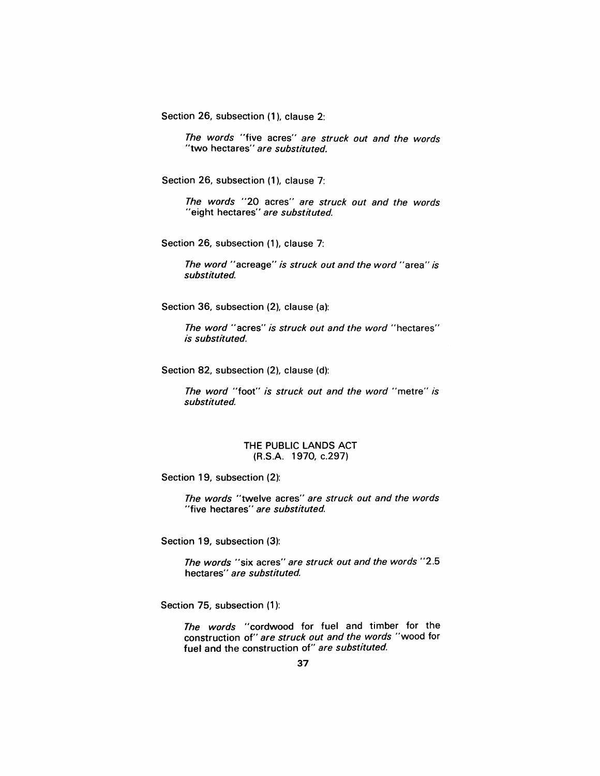Section 26, subsection (1), clause 2:

The words "five acres" are struck out and the words "two hectares" are substituted.

Section 26, subsection (1), clause 7:

The words "20 acres" are struck out and the words "eight hectares" are substituted.

Section 26, subsection (1), clause 7:

The word "acreage" is struck out and the word "area" is substituted.

Section 36, subsection (2), clause (a):

The word "acres" is struck out and the word "hectares" is substituted.

Section 82, subsection (2), clause (d):

The word "foot" is struck out and the word "metre" is substituted.

#### THE PUBLIC LANDS ACT (R.S.A. 1970, c.297)

Section 19, subsection (2):

The words "twelve acres" are struck out and the words "five hectares" are substituted.

Section 19, subsection (3):

The words "six acres" are struck out and the words "2.5 hectares" are substituted.

Section 75, subsection (1):

The words "cordwood for fuel and timber for the construction of" are struck out and the words "wood for fuel and the construction of" are substituted.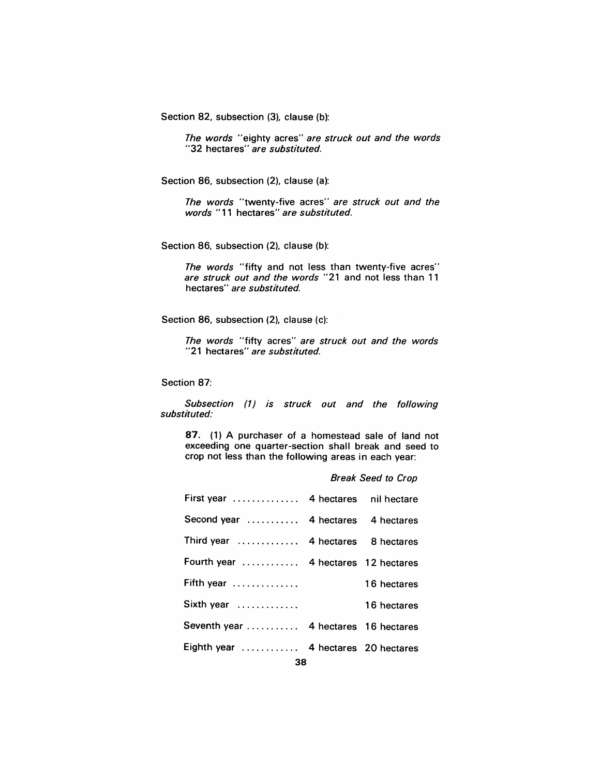Section 82, subsection (3), clause (b):

The words "eighty acres" are struck out and the words "32 hectares" are substituted.

Section 86, subsection (2), clause (a):

The words "twenty-five acres" are struck out and the words "11 hectares" are substituted.

Section 86, subsection (2), clause (b):

The words "fifty and not less than twenty-five acres" are struck out and the words "21 and not less than 11 hectares" are substituted.

Section 86, subsection (2), clause (c):

The words "fifty acres" are struck out and the words "21 hectares" are substituted.

Section 87:

Subsection (1) is struck out and the following substituted:

87. (1) A purchaser of a homestead sale of land not exceeding one quarter-section shall break and seed to crop not less than the following areas in each year:

|                                     | <b>Break Seed to Crop</b> |                        |
|-------------------------------------|---------------------------|------------------------|
| First year                          | 4 hectares                | nil hectare            |
| Second year                         |                           | 4 hectares 4 hectares  |
| Third year                          | 4 hectares                | 8 hectares             |
| Fourth year  4 hectares 12 hectares |                           |                        |
| Fifth year                          |                           | 16 hectares            |
| Sixth year                          |                           | 16 hectares            |
| Seventh year                        |                           | 4 hectares 16 hectares |
| Eighth year                         |                           | 4 hectares 20 hectares |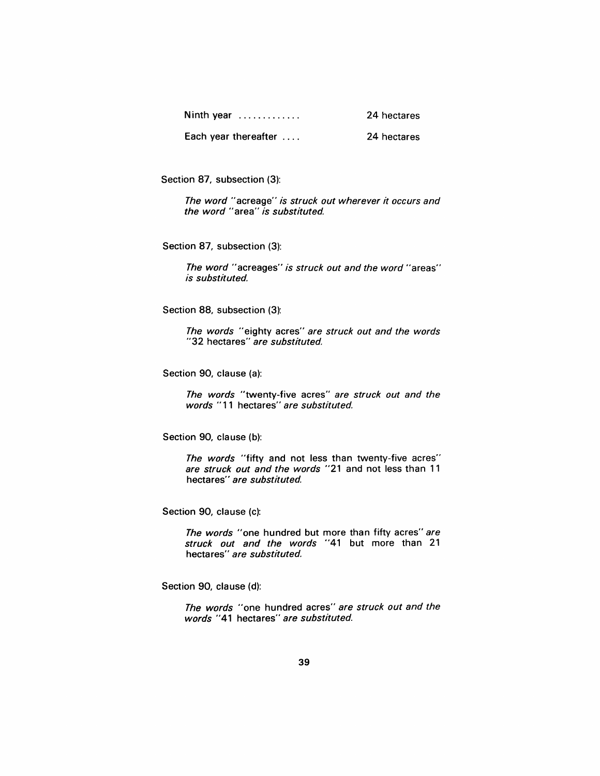| Ninth year           | 24 hectares |
|----------------------|-------------|
| Each year thereafter | 24 hectares |

Section 87, subsection (3):

The word "acreage" is struck out wherever it occurs and the word "area" is substituted.

Section 87, subsection (3):

The word "acreages" is struck out and the word "areas" is substituted.

Section 88, subsection (3):

The words "eighty acres" are struck out and the words "32 hectares" are substituted.

Section 90, clause (a):

The words "twenty-five acres" are struck out and the words "11 hectares" are substituted.

Section 90, clause (b):

The words "fifty and not less than twenty-five acres" are struck out and the words "21 and not less than 11 hectares" are substituted.

Section 90, clause (c):

The words "one hundred but more than fifty acres" are struck out and the words "41 but more than 21 hectares" are substituted.

Section 90, clause (d):

The words "one hundred acres" are struck out and the words "41 hectares" are substituted.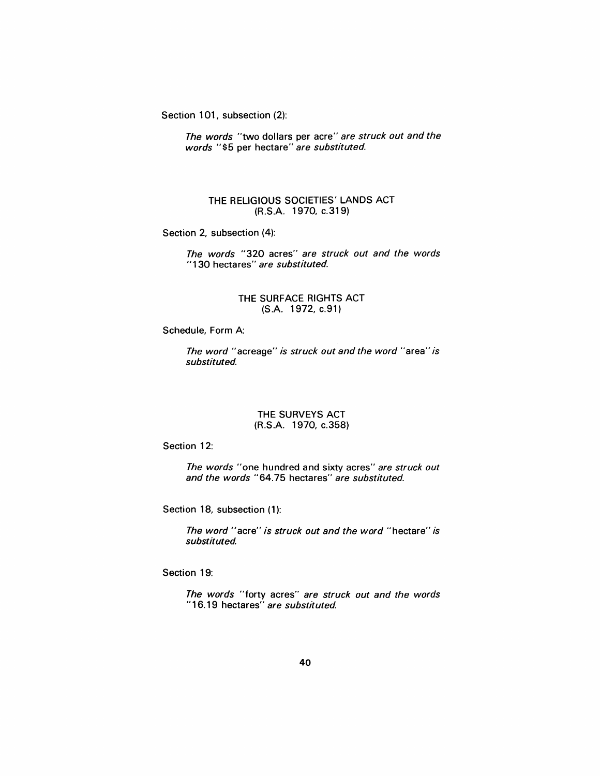Section 101, subsection (2):

The words "two dollars per acre" are struck out and the words "\$5 per hectare" are substituted.

# THE RELIGIOUS SOCIETIES' LANDS ACT (R.S.A. 1970, c.319)

Section 2, subsection (4):

The words *"320* acres" are struck out and the words "130 hectares" are substituted.

# THE SURFACE RIGHTS ACT (S.A. 1972, c.91)

Schedule, Form A:

The word "acreage" is struck out and the word "area" is substituted.

#### THE SURVEYS ACT (R.S.A. 1970, c.358)

Section 12:

The words "one hundred and sixty acres" are struck out and the words *"64.75* hectares" are substituted.

Section 18, subsection (1):

The word "acre" is struck out and the word "hectare" is substituted

Section 19:

The words "forty acres" are struck out and the words "16.19 hectares" are substituted.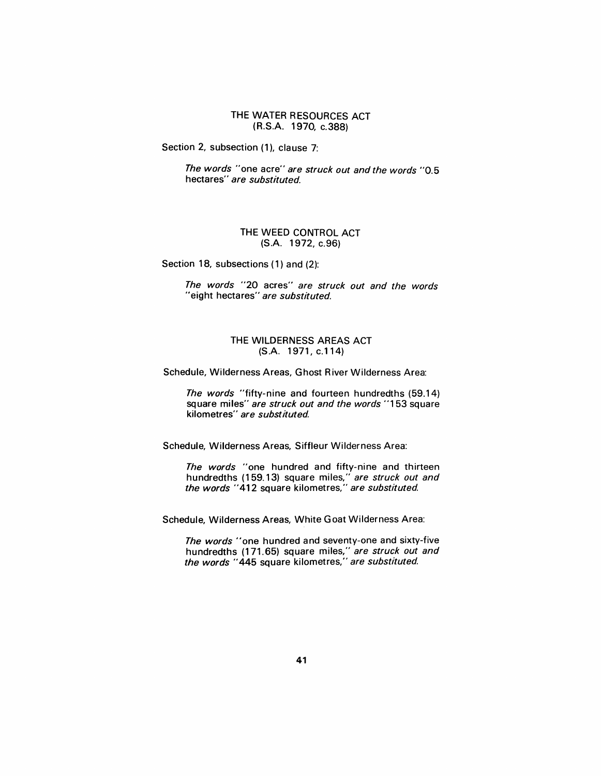# THE WATER RESOURCES ACT (R.S.A. 1970, c.388)

Section 2, subsection (1), clause 7:

The words "one acre" are struck out and the words "0.5 hectares" are substituted.

# THE WEED CONTROL ACT (S.A. 1972, c.96)

Section 18, subsections (1) and (2):

The words "20 acres" are struck out and the words "eight hectares" are substituted.

# THE WILDERNESS AREAS ACT (S.A. 1971, c.114)

Schedule, Wilderness Areas, Ghost River Wilderness Area:

The words "fifty-nine and fourteen hundredths (59.14) square miles" are struck out and the words "153 square kilometres" are substituted.

Schedule, Wilderness Areas, Siffleur Wilderness Area:

The words "one hundred and fifty-nine and thirteen hundredths (159.13) square miles," are struck out and the words "412 square kilometres," are substituted.

Schedule, Wilderness Areas, White G oat Wilderness Area:

The words "one hundred and seventy-one and sixty-five hundredths (171.65) square miles," are struck out and the words "445 square kilometres," are substituted.